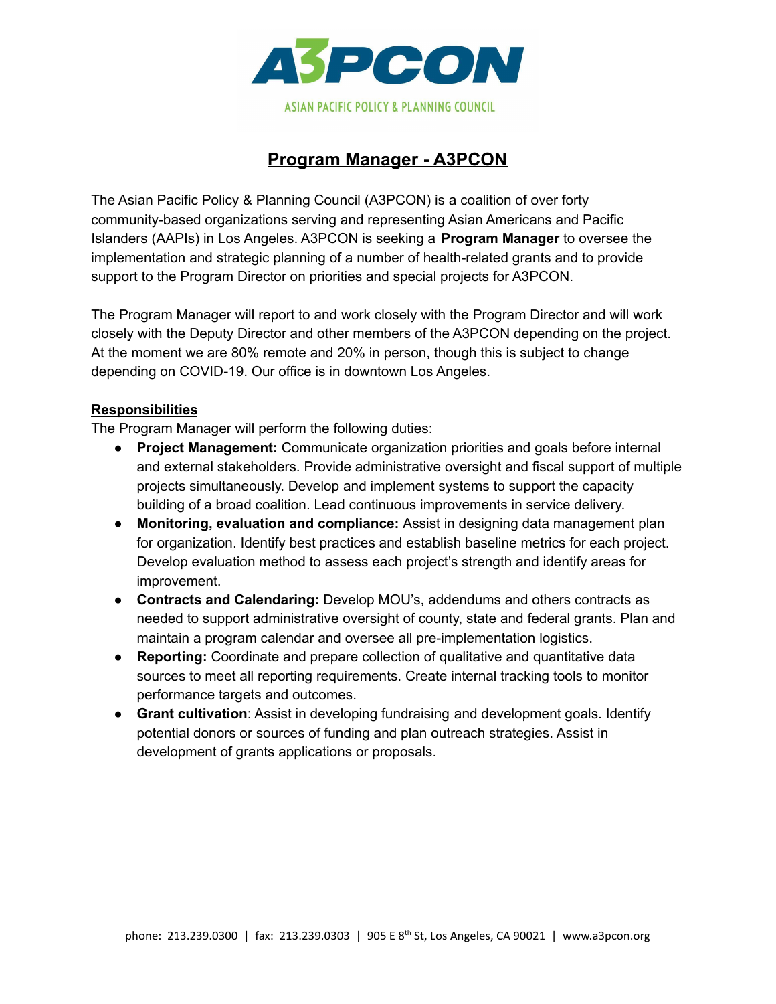

# **Program Manager - A3PCON**

The Asian Pacific Policy & Planning Council (A3PCON) is a coalition of over forty community-based organizations serving and representing Asian Americans and Pacific Islanders (AAPIs) in Los Angeles. A3PCON is seeking a **Program Manager** to oversee the implementation and strategic planning of a number of health-related grants and to provide support to the Program Director on priorities and special projects for A3PCON.

The Program Manager will report to and work closely with the Program Director and will work closely with the Deputy Director and other members of the A3PCON depending on the project. At the moment we are 80% remote and 20% in person, though this is subject to change depending on COVID-19. Our office is in downtown Los Angeles.

#### **Responsibilities**

The Program Manager will perform the following duties:

- **Project Management:** Communicate organization priorities and goals before internal and external stakeholders. Provide administrative oversight and fiscal support of multiple projects simultaneously. Develop and implement systems to support the capacity building of a broad coalition. Lead continuous improvements in service delivery.
- **Monitoring, evaluation and compliance:** Assist in designing data management plan for organization. Identify best practices and establish baseline metrics for each project. Develop evaluation method to assess each project's strength and identify areas for improvement.
- **Contracts and Calendaring:** Develop MOU's, addendums and others contracts as needed to support administrative oversight of county, state and federal grants. Plan and maintain a program calendar and oversee all pre-implementation logistics.
- **Reporting:** Coordinate and prepare collection of qualitative and quantitative data sources to meet all reporting requirements. Create internal tracking tools to monitor performance targets and outcomes.
- **Grant cultivation**: Assist in developing fundraising and development goals. Identify potential donors or sources of funding and plan outreach strategies. Assist in development of grants applications or proposals.